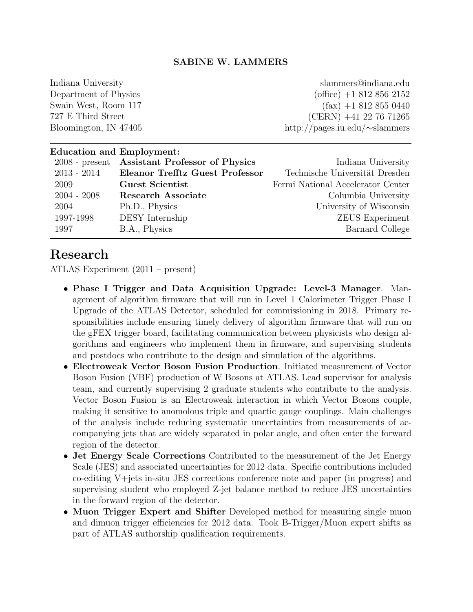### SABINE W. LAMMERS

Indiana University Department of Physics Swain West, Room 117 727 E Third Street Bloomington, IN 47405

slammers@indiana.edu (office) +1 812 856 2152  $(fax) +1 812 855 0440$ (CERN) +41 22 76 71265 http://pages.iu.edu/∼slammers

## Education and Employment: 2008 - present Assistant Professor of Physics Indiana University 2013 - 2014 Eleanor Trefftz Guest Professor Technische Universität Dresden 2009 Guest Scientist Fermi National Accelerator Center 2004 - 2008 Research Associate Columbia University 2004 Ph.D., Physics University of Wisconsin 1997-1998 DESY Internship ZEUS Experiment 1997 B.A., Physics Barnard College

## Research

ATLAS Experiment (2011 – present)

- Phase I Trigger and Data Acquisition Upgrade: Level-3 Manager. Management of algorithm firmware that will run in Level 1 Calorimeter Trigger Phase I Upgrade of the ATLAS Detector, scheduled for commissioning in 2018. Primary responsibilities include ensuring timely delivery of algorithm firmware that will run on the gFEX trigger board, facilitating communication between physicists who design algorithms and engineers who implement them in firmware, and supervising students and postdocs who contribute to the design and simulation of the algorithms.
- Electroweak Vector Boson Fusion Production. Initiated measurement of Vector Boson Fusion (VBF) production of W Bosons at ATLAS. Lead supervisor for analysis team, and currently supervising 2 graduate students who contribute to the analysis. Vector Boson Fusion is an Electroweak interaction in which Vector Bosons couple, making it sensitive to anomolous triple and quartic gauge couplings. Main challenges of the analysis include reducing systematic uncertainties from measurements of accompanying jets that are widely separated in polar angle, and often enter the forward region of the detector.
- Jet Energy Scale Corrections Contributed to the measurement of the Jet Energy Scale (JES) and associated uncertainties for 2012 data. Specific contributions included co-editing V+jets in-situ JES corrections conference note and paper (in progress) and supervising student who employed Z-jet balance method to reduce JES uncertainties in the forward region of the detector.
- Muon Trigger Expert and Shifter Developed method for measuring single muon and dimuon trigger efficiencies for 2012 data. Took B-Trigger/Muon expert shifts as part of ATLAS authorship qualification requirements.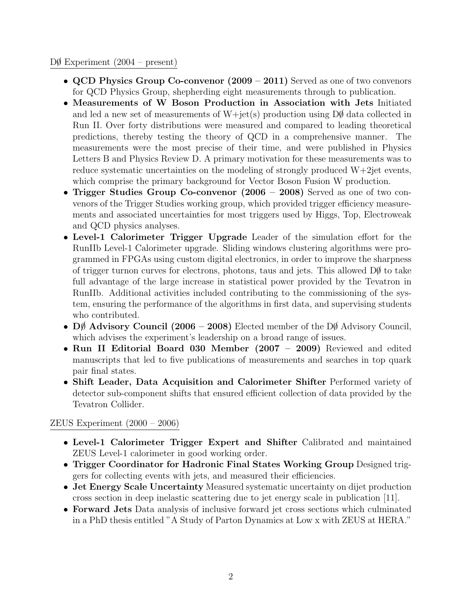#### $D\emptyset$  Experiment  $(2004 - \text{present})$

- QCD Physics Group Co-convenor (2009 2011) Served as one of two convenors for QCD Physics Group, shepherding eight measurements through to publication.
- Measurements of W Boson Production in Association with Jets Initiated and led a new set of measurements of  $W+jet(s)$  production using  $D\emptyset$  data collected in Run II. Over forty distributions were measured and compared to leading theoretical predictions, thereby testing the theory of QCD in a comprehensive manner. The measurements were the most precise of their time, and were published in Physics Letters B and Physics Review D. A primary motivation for these measurements was to reduce systematic uncertainties on the modeling of strongly produced W+2jet events, which comprise the primary background for Vector Boson Fusion W production.
- Trigger Studies Group Co-convenor (2006 2008) Served as one of two convenors of the Trigger Studies working group, which provided trigger efficiency measurements and associated uncertainties for most triggers used by Higgs, Top, Electroweak and QCD physics analyses.
- Level-1 Calorimeter Trigger Upgrade Leader of the simulation effort for the RunIIb Level-1 Calorimeter upgrade. Sliding windows clustering algorithms were programmed in FPGAs using custom digital electronics, in order to improve the sharpness of trigger turnon curves for electrons, photons, taus and jets. This allowed  $D\emptyset$  to take full advantage of the large increase in statistical power provided by the Tevatron in RunIIb. Additional activities included contributing to the commissioning of the system, ensuring the performance of the algorithms in first data, and supervising students who contributed.
- D $\oint$  Advisory Council (2006 2008) Elected member of the D $\oint$  Advisory Council, which advises the experiment's leadership on a broad range of issues.
- Run II Editorial Board 030 Member (2007 2009) Reviewed and edited manuscripts that led to five publications of measurements and searches in top quark pair final states.
- Shift Leader, Data Acquisition and Calorimeter Shifter Performed variety of detector sub-component shifts that ensured efficient collection of data provided by the Tevatron Collider.

### ZEUS Experiment (2000 – 2006)

- Level-1 Calorimeter Trigger Expert and Shifter Calibrated and maintained ZEUS Level-1 calorimeter in good working order.
- Trigger Coordinator for Hadronic Final States Working Group Designed triggers for collecting events with jets, and measured their efficiencies.
- Jet Energy Scale Uncertainty Measured systematic uncertainty on dijet production cross section in deep inelastic scattering due to jet energy scale in publication [11].
- Forward Jets Data analysis of inclusive forward jet cross sections which culminated in a PhD thesis entitled "A Study of Parton Dynamics at Low x with ZEUS at HERA."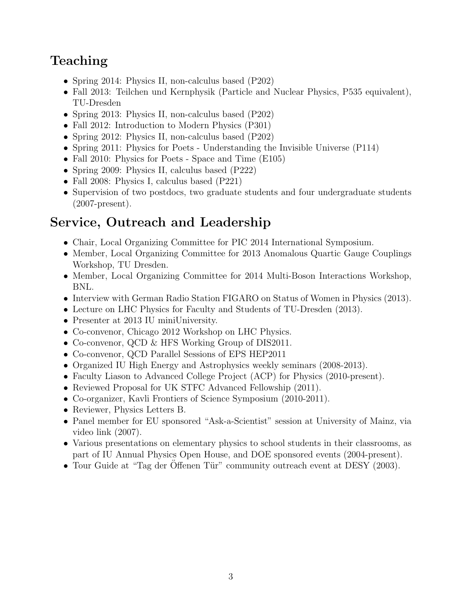# Teaching

- Spring 2014: Physics II, non-calculus based (P202)
- Fall 2013: Teilchen und Kernphysik (Particle and Nuclear Physics, P535 equivalent), TU-Dresden
- Spring 2013: Physics II, non-calculus based (P202)
- Fall 2012: Introduction to Modern Physics (P301)
- Spring 2012: Physics II, non-calculus based (P202)
- Spring 2011: Physics for Poets Understanding the Invisible Universe (P114)
- Fall 2010: Physics for Poets Space and Time (E105)
- Spring 2009: Physics II, calculus based (P222)
- Fall 2008: Physics I, calculus based (P221)
- Supervision of two postdocs, two graduate students and four undergraduate students (2007-present).

# Service, Outreach and Leadership

- Chair, Local Organizing Committee for PIC 2014 International Symposium.
- Member, Local Organizing Committee for 2013 Anomalous Quartic Gauge Couplings Workshop, TU Dresden.
- Member, Local Organizing Committee for 2014 Multi-Boson Interactions Workshop, BNL.
- Interview with German Radio Station FIGARO on Status of Women in Physics (2013).
- Lecture on LHC Physics for Faculty and Students of TU-Dresden (2013).
- Presenter at 2013 IU miniUniversity.
- Co-convenor, Chicago 2012 Workshop on LHC Physics.
- Co-convenor, QCD & HFS Working Group of DIS2011.
- Co-convenor, QCD Parallel Sessions of EPS HEP2011
- Organized IU High Energy and Astrophysics weekly seminars (2008-2013).
- Faculty Liason to Advanced College Project (ACP) for Physics (2010-present).
- Reviewed Proposal for UK STFC Advanced Fellowship  $(2011)$ .
- Co-organizer, Kavli Frontiers of Science Symposium (2010-2011).
- Reviewer, Physics Letters B.
- Panel member for EU sponsored "Ask-a-Scientist" session at University of Mainz, via video link (2007).
- Various presentations on elementary physics to school students in their classrooms, as part of IU Annual Physics Open House, and DOE sponsored events (2004-present).
- Tour Guide at "Tag der Offenen Tür" community outreach event at DESY (2003).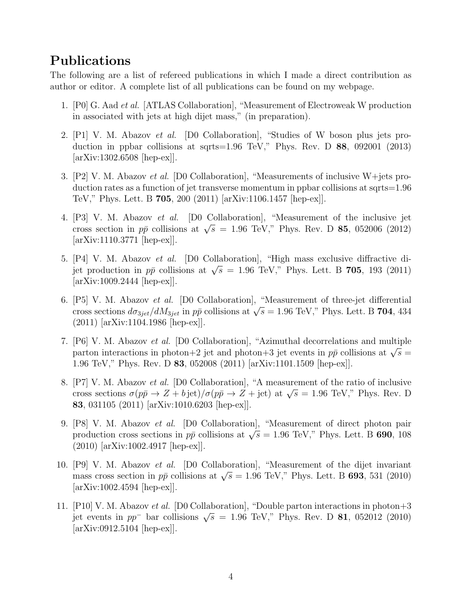## Publications

The following are a list of refereed publications in which I made a direct contribution as author or editor. A complete list of all publications can be found on my webpage.

- 1. [P0] G. Aad et al. [ATLAS Collaboration], "Measurement of Electroweak W production in associated with jets at high dijet mass," (in preparation).
- 2. [P1] V. M. Abazov et al. [D0 Collaboration], "Studies of W boson plus jets production in ppbar collisions at sqrts=1.96 TeV," Phys. Rev. D 88, 092001 (2013) [arXiv:1302.6508 [hep-ex]].
- 3. [P2] V. M. Abazov et al. [D0 Collaboration], "Measurements of inclusive W+jets production rates as a function of jet transverse momentum in ppbar collisions at sqrts=1.96 TeV," Phys. Lett. B 705, 200 (2011) [arXiv:1106.1457 [hep-ex]].
- 4. [P3] V. M. Abazov et al. [D0 Collaboration], "Measurement of the inclusive jet  $\begin{bmatrix} 1 & 3 \end{bmatrix}$  v. M. Abazov *et al.* [DO Conaboration], Measurement of the merusive jet<br>cross section in  $p\bar{p}$  collisions at  $\sqrt{s} = 1.96$  TeV," Phys. Rev. D **85**, 052006 (2012) [arXiv:1110.3771 [hep-ex]].
- 5. [P4] V. M. Abazov et al. [D0 Collaboration], "High mass exclusive diffractive di- $\lbrack$ F4] V. M. Abazov *et al.* [D0 Conaboration], Fight mass exclusive different di-<br>jet production in  $p\bar{p}$  collisions at  $\sqrt{s} = 1.96$  TeV," Phys. Lett. B **705**, 193 (2011) [arXiv:1009.2444 [hep-ex]].
- 6. [P5] V. M. Abazov et al. [D0 Collaboration], "Measurement of three-jet differential (F b) V. M. Abazov *et al.* [D0 Conaboration], Measurement of three-jet differential cross sections  $d\sigma_{3jet}/dM_{3jet}$  in  $p\bar{p}$  collisions at  $\sqrt{s} = 1.96$  TeV," Phys. Lett. B 704, 434 (2011) [arXiv:1104.1986 [hep-ex]].
- 7. [P6] V. M. Abazov et al. [D0 Collaboration], "Azimuthal decorrelations and multiple parton interactions in photon+2 jet and photon+3 jet events in  $p\bar{p}$  collisions at  $\sqrt{s}$  = 1.96 TeV," Phys. Rev. D 83, 052008 (2011) [arXiv:1101.1509 [hep-ex]].
- 8. [P7] V. M. Abazov et al. [D0 Collaboration], "A measurement of the ratio of inclusive cross sections  $\sigma(p\bar{p} \to Z + b \text{ jet})/\sigma(p\bar{p} \to Z + \text{ jet})$  at  $\sqrt{s} = 1.96 \text{ TeV}$ ," Phys. Rev. D 83, 031105 (2011) [arXiv:1010.6203 [hep-ex]].
- 9. [P8] V. M. Abazov et al. [D0 Collaboration], "Measurement of direct photon pair production cross sections in  $p\bar{p}$  collisions at  $\sqrt{s} = 1.96$  TeV," Phys. Lett. B 690, 108 (2010) [arXiv:1002.4917 [hep-ex]].
- 10. [P9] V. M. Abazov et al. [D0 Collaboration], "Measurement of the dijet invariant  $\mu$  9] v. M. Abazov *et al.* [D0 Conaboration], Measurement of the different managements cross section in  $p\bar{p}$  collisions at  $\sqrt{s} = 1.96$  TeV," Phys. Lett. B **693**, 531 (2010) [arXiv:1002.4594 [hep-ex]].
- 11. [P10] V. M. Abazov et al. [D0 Collaboration], "Double parton interactions in photon+3 jet events in  $pp^-$  bar collisions  $\sqrt{s} = 1.96$  TeV," Phys. Rev. D **81**, 052012 (2010) [arXiv:0912.5104 [hep-ex]].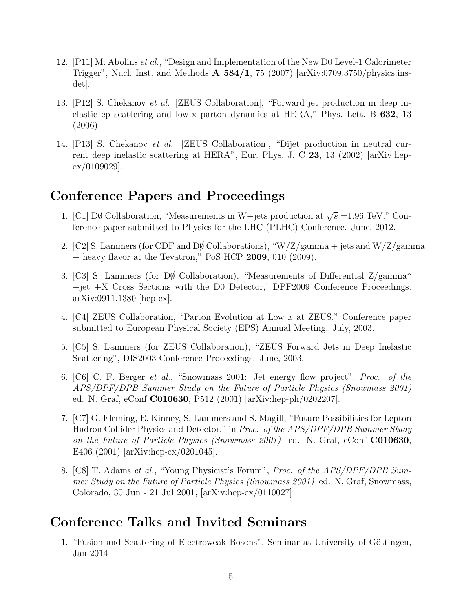- 12. [P11] M. Abolins et al., "Design and Implementation of the New D0 Level-1 Calorimeter Trigger", Nucl. Inst. and Methods  $\bf{A}$  584/1, 75 (2007) [arXiv:0709.3750/physics.insdet].
- 13. [P12] S. Chekanov et al. [ZEUS Collaboration], "Forward jet production in deep inelastic ep scattering and low-x parton dynamics at HERA," Phys. Lett. B 632, 13 (2006)
- 14. [P13] S. Chekanov et al. [ZEUS Collaboration], "Dijet production in neutral current deep inelastic scattering at HERA", Eur. Phys. J. C 23, 13 (2002) [arXiv:hepex/0109029].

## Conference Papers and Proceedings

- 1. [C1]  $D\emptyset$  Collaboration, "Measurements in W+jets production at √  $\overline{s}$  =1.96 TeV." Conference paper submitted to Physics for the LHC (PLHC) Conference. June, 2012.
- 2. [C2] S. Lammers (for CDF and DØ Collaborations), "W/Z/gamma + jets and W/Z/gamma + heavy flavor at the Tevatron," PoS HCP 2009, 010 (2009).
- 3. [C3] S. Lammers (for D $\emptyset$  Collaboration), "Measurements of Differential Z/gamma\*  $+jet +X$  Cross Sections with the D0 Detector,' DPF2009 Conference Proceedings. arXiv:0911.1380 [hep-ex].
- 4. [C4] ZEUS Collaboration, "Parton Evolution at Low x at ZEUS." Conference paper submitted to European Physical Society (EPS) Annual Meeting. July, 2003.
- 5. [C5] S. Lammers (for ZEUS Collaboration), "ZEUS Forward Jets in Deep Inelastic Scattering", DIS2003 Conference Proceedings. June, 2003.
- 6. [C6] C. F. Berger et al., "Snowmass 2001: Jet energy flow project", Proc. of the APS/DPF/DPB Summer Study on the Future of Particle Physics (Snowmass 2001) ed. N. Graf, eConf C010630, P512 (2001) [arXiv:hep-ph/0202207].
- 7. [C7] G. Fleming, E. Kinney, S. Lammers and S. Magill, "Future Possibilities for Lepton Hadron Collider Physics and Detector." in Proc. of the APS/DPF/DPB Summer Study on the Future of Particle Physics (Snowmass 2001) ed. N. Graf, eConf C010630, E406 (2001) [arXiv:hep-ex/0201045].
- 8. [C8] T. Adams et al., "Young Physicist's Forum", Proc. of the APS/DPF/DPB Summer Study on the Future of Particle Physics (Snowmass 2001) ed. N. Graf, Snowmass, Colorado, 30 Jun - 21 Jul 2001, [arXiv:hep-ex/0110027]

# Conference Talks and Invited Seminars

1. "Fusion and Scattering of Electroweak Bosons", Seminar at University of Göttingen, Jan 2014